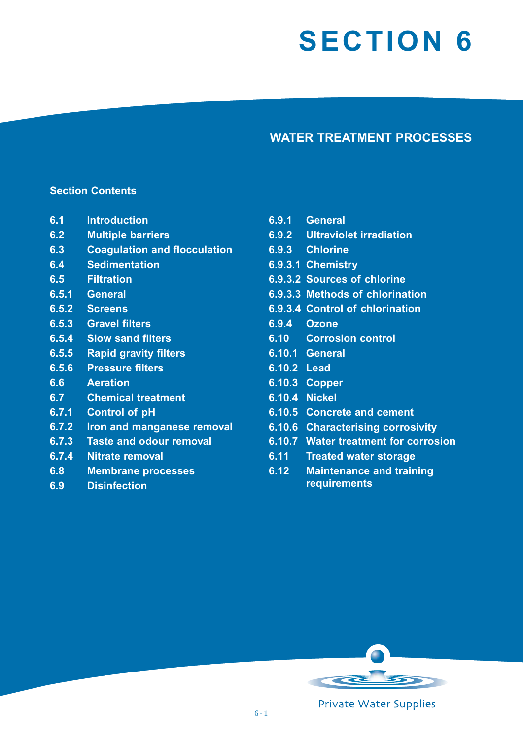

### **???????????????? WATER TREATMENT PROCESSES**

### **Section Contents**

- **6.1 Introduction**
- **6.2 Multiple barriers**
- **6.3 Coagulation and flocculation**
- **Section Contents 6.4 Sedimentation**
	- **6.5 Filtration**
- **6.5.1 General**
- **6.5.2 Screens**
- **6.5.3 Gravel filters**
- **6.5.4 Slow sand filters** 
	- 6.5.5 **6.5.5 Rapid gravity filters**
	- **5.5.1 General 6.5.6 Pressure filters**
- **5.5.2 Screens 6.6 Aeration**
- **5.5.3 Gravel filters 6.7 Chemical treatment**
- **5.5.4 Slow sand filters 6.7.1 Control of pH**
- **5.5.5 Rapid gravity filters 5.5.6 Pressure filters 6.7.2 Iron and manganese removal**
	- **6.7.3**<br>**6.7.4 6.7.3 Taste and odour removal**
- **6.7.4 Nitrate removal**
- **5.7.1 Control of pH 6.8 Membrane processes**
- **5.9 Disinfection**
- **6.9.1 General**
- **6.9.2 Ultraviolet irradiation**
- **6.9.3 Chlorine**
- **6.9.3.1 Chemistry**
- **6.9.3.2 Sources of chlorine**
- **5.9.3.3 Methods of chlorination 6.9.3.3 Methods of chlorination**
- **5.9.3.4 Control of chlorination 6.9.3.4 Control of chlorination**
- **5.9.4 Ozone 6.3.4 C**<sub>c</sub> C<sub>o</sub> **6.9.4 Ozone**
- **6.10. CONC 6.10 Corrosion control**
- **6.10.1 General**
- **5.10.3 Copper 6.10.2 Lead**
- **5.10.4 Nickel 6.10.3 Copper**
- **5.10.5 Concrete and cement 6.10.4 Nickel**
- **6.10.5 Concrete and cement**
- **6.10.6 Characterising corrosivity**
- **6.10.7 Water treatment for corrosion**
- **6.11 Treated water storage** 
	- **requirements 6.12 Maintenance and training requirements**

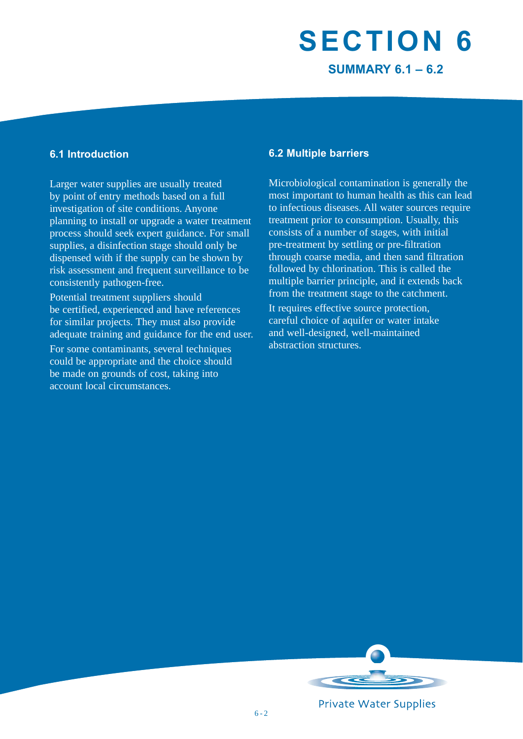## **SECTION 6 SUMMARY 6.1 – 6.2**

### **6.1 Introduction**

Larger water supplies are usually treated by point of entry methods based on a full investigation of site conditions. Anyone planning to install or upgrade a water treatment process should seek expert guidance. For small supplies, a disinfection stage should only be dispensed with if the supply can be shown by risk assessment and frequent surveillance to be consistently pathogen-free.

Potential treatment suppliers should be certified, experienced and have references for similar projects. They must also provide adequate training and guidance for the end user. For some contaminants, several techniques could be appropriate and the choice should be made on grounds of cost, taking into account local circumstances.

### **6.2 Multiple barriers**

Microbiological contamination is generally the most important to human health as this can lead to infectious diseases. All water sources require treatment prior to consumption. Usually, this consists of a number of stages, with initial pre-treatment by settling or pre-filtration through coarse media, and then sand filtration followed by chlorination. This is called the multiple barrier principle, and it extends back from the treatment stage to the catchment.

It requires effective source protection, careful choice of aquifer or water intake and well-designed, well-maintained abstraction structures.

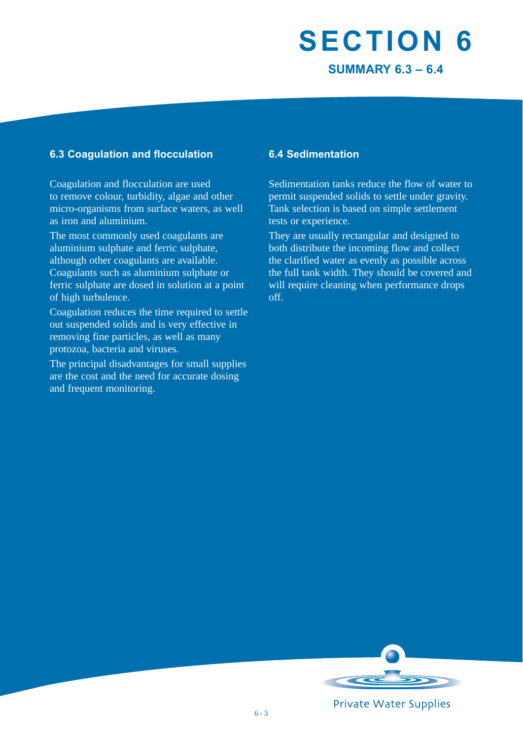

### **6.3 Coagulation and flocculation**

Coagulation and flocculation are used to remove colour, turbidity, algae and other micro-organisms from surface waters, as well as iron and aluminium.

The most commonly used coagulants are aluminium sulphate and ferric sulphate, although other coagulants are available. Coagulants such as aluminium sulphate or ferric sulphate are dosed in solution at a point of high turbulence.

Coagulation reduces the time required to settle out suspended solids and is very effective in removing fine particles, as well as many protozoa, bacteria and viruses.

The principal disadvantages for small supplies are the cost and the need for accurate dosing and frequent monitoring.

#### **6.4 Sedimentation**

Sedimentation tanks reduce the flow of water to permit suspended solids to settle under gravity. Tank selection is based on simple settlement tests or experience.

They are usually rectangular and designed to both distribute the incoming flow and collect the clarified water as evenly as possible across the full tank width. They should be covered and will require cleaning when performance drops off.

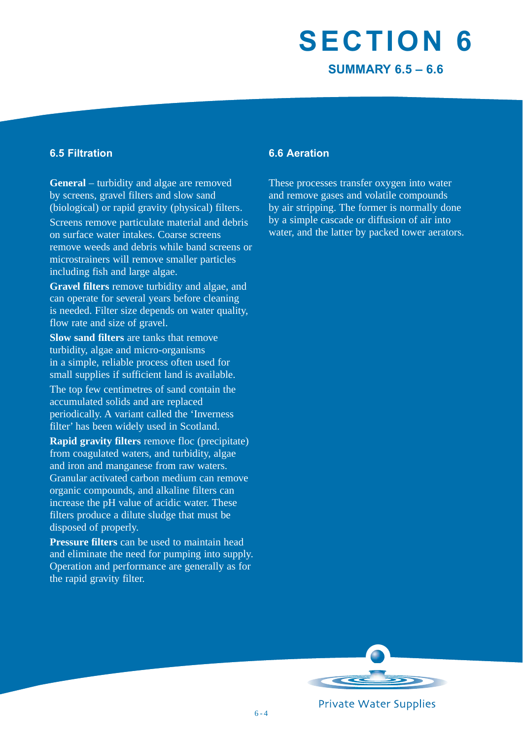

### **6.5 Filtration**

**General** – turbidity and algae are removed by screens, gravel filters and slow sand (biological) or rapid gravity (physical) filters. Screens remove particulate material and debris on surface water intakes. Coarse screens remove weeds and debris while band screens or microstrainers will remove smaller particles including fish and large algae.

**Gravel filters** remove turbidity and algae, and can operate for several years before cleaning is needed. Filter size depends on water quality, flow rate and size of gravel.

**Slow sand filters** are tanks that remove turbidity, algae and micro-organisms in a simple, reliable process often used for small supplies if sufficient land is available.

The top few centimetres of sand contain the accumulated solids and are replaced periodically. A variant called the 'Inverness filter' has been widely used in Scotland.

**Rapid gravity filters** remove floc (precipitate) from coagulated waters, and turbidity, algae and iron and manganese from raw waters. Granular activated carbon medium can remove organic compounds, and alkaline filters can increase the pH value of acidic water. These filters produce a dilute sludge that must be disposed of properly.

**Pressure filters** can be used to maintain head and eliminate the need for pumping into supply. Operation and performance are generally as for the rapid gravity filter.

### **6.6 Aeration**

These processes transfer oxygen into water and remove gases and volatile compounds by air stripping. The former is normally done by a simple cascade or diffusion of air into water, and the latter by packed tower aerators.

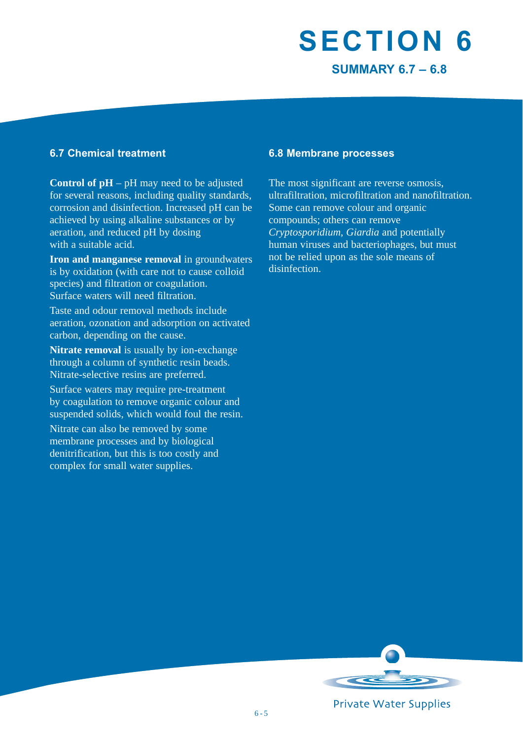# **SECTION 6 SUMMARY 6.7 – 6.8**

### **6.7 Chemical treatment**

**Control of pH** – pH may need to be adjusted for several reasons, including quality standards, corrosion and disinfection. Increased pH can be achieved by using alkaline substances or by aeration, and reduced pH by dosing with a suitable acid.

**Iron and manganese removal** in groundwaters is by oxidation (with care not to cause colloid species) and filtration or coagulation. Surface waters will need filtration.

Taste and odour removal methods include aeration, ozonation and adsorption on activated carbon, depending on the cause.

**Nitrate removal** is usually by ion-exchange through a column of synthetic resin beads. Nitrate-selective resins are preferred.

Surface waters may require pre-treatment by coagulation to remove organic colour and suspended solids, which would foul the resin. Nitrate can also be removed by some membrane processes and by biological denitrification, but this is too costly and

complex for small water supplies.

#### **6.8 Membrane processes**

The most significant are reverse osmosis, ultrafiltration, microfiltration and nanofiltration. Some can remove colour and organic compounds; others can remove *Cryptosporidium*, *Giardia* and potentially human viruses and bacteriophages, but must not be relied upon as the sole means of disinfection.

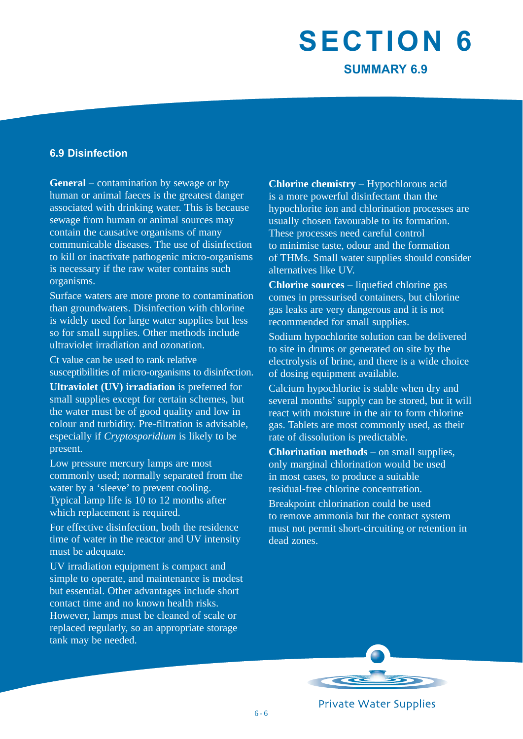# **SECTION 6 SUMMARY 6.9**

### **6.9 Disinfection**

**General** – contamination by sewage or by human or animal faeces is the greatest danger associated with drinking water. This is because sewage from human or animal sources may contain the causative organisms of many communicable diseases. The use of disinfection to kill or inactivate pathogenic micro-organisms is necessary if the raw water contains such organisms.

Surface waters are more prone to contamination than groundwaters. Disinfection with chlorine is widely used for large water supplies but less so for small supplies. Other methods include ultraviolet irradiation and ozonation.

Ct value can be used to rank relative susceptibilities of micro-organisms to disinfection.

**Ultraviolet (UV) irradiation** is preferred for small supplies except for certain schemes, but the water must be of good quality and low in colour and turbidity. Pre-filtration is advisable, especially if *Cryptosporidium* is likely to be present.

Low pressure mercury lamps are most commonly used; normally separated from the water by a 'sleeve' to prevent cooling. Typical lamp life is 10 to 12 months after which replacement is required.

For effective disinfection, both the residence time of water in the reactor and UV intensity must be adequate.

UV irradiation equipment is compact and simple to operate, and maintenance is modest but essential. Other advantages include short contact time and no known health risks. However, lamps must be cleaned of scale or replaced regularly, so an appropriate storage tank may be needed.

**Chlorine chemistry** – Hypochlorous acid is a more powerful disinfectant than the hypochlorite ion and chlorination processes are usually chosen favourable to its formation. These processes need careful control to minimise taste, odour and the formation of THMs. Small water supplies should consider alternatives like UV.

**Chlorine sources** – liquefied chlorine gas comes in pressurised containers, but chlorine gas leaks are very dangerous and it is not recommended for small supplies.

Sodium hypochlorite solution can be delivered to site in drums or generated on site by the electrolysis of brine, and there is a wide choice of dosing equipment available.

Calcium hypochlorite is stable when dry and several months' supply can be stored, but it will react with moisture in the air to form chlorine gas. Tablets are most commonly used, as their rate of dissolution is predictable.

**Chlorination methods** – on small supplies, only marginal chlorination would be used in most cases, to produce a suitable residual-free chlorine concentration.

Breakpoint chlorination could be used to remove ammonia but the contact system must not permit short-circuiting or retention in dead zones.

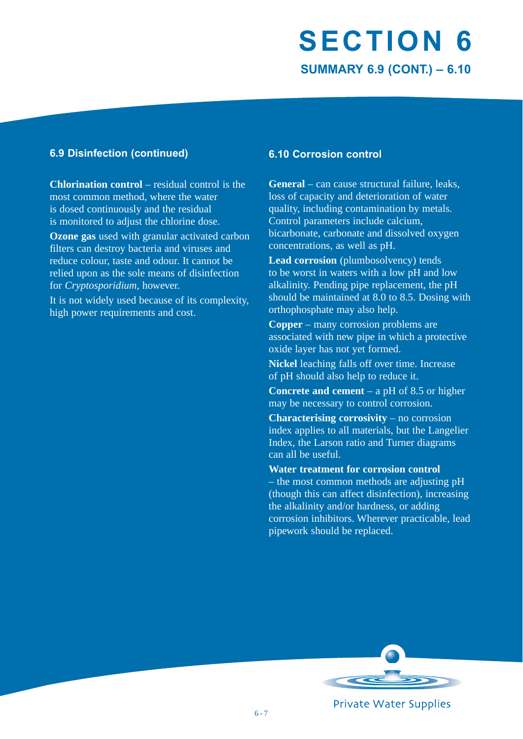# **SECTION 6 SUMMARY 6.9 (CONT.) – 6.10**

### **6.9 Disinfection (continued)**

**Chlorination control** – residual control is the most common method, where the water is dosed continuously and the residual is monitored to adjust the chlorine dose.

**Ozone gas** used with granular activated carbon filters can destroy bacteria and viruses and reduce colour, taste and odour. It cannot be relied upon as the sole means of disinfection for *Cryptosporidium*, however.

It is not widely used because of its complexity, high power requirements and cost.

### **6.10 Corrosion control**

**General** – can cause structural failure, leaks, loss of capacity and deterioration of water quality, including contamination by metals. Control parameters include calcium, bicarbonate, carbonate and dissolved oxygen concentrations, as well as pH.

**Lead corrosion** (plumbosolvency) tends to be worst in waters with a low pH and low alkalinity. Pending pipe replacement, the pH should be maintained at 8.0 to 8.5. Dosing with orthophosphate may also help.

**Copper** – many corrosion problems are associated with new pipe in which a protective oxide layer has not yet formed.

**Nickel** leaching falls off over time. Increase of pH should also help to reduce it.

**Concrete and cement** – a pH of 8.5 or higher may be necessary to control corrosion.

**Characterising corrosivity** – no corrosion index applies to all materials, but the Langelier Index, the Larson ratio and Turner diagrams can all be useful.

### **Water treatment for corrosion control**

– the most common methods are adjusting pH (though this can affect disinfection), increasing the alkalinity and/or hardness, or adding corrosion inhibitors. Wherever practicable, lead pipework should be replaced.

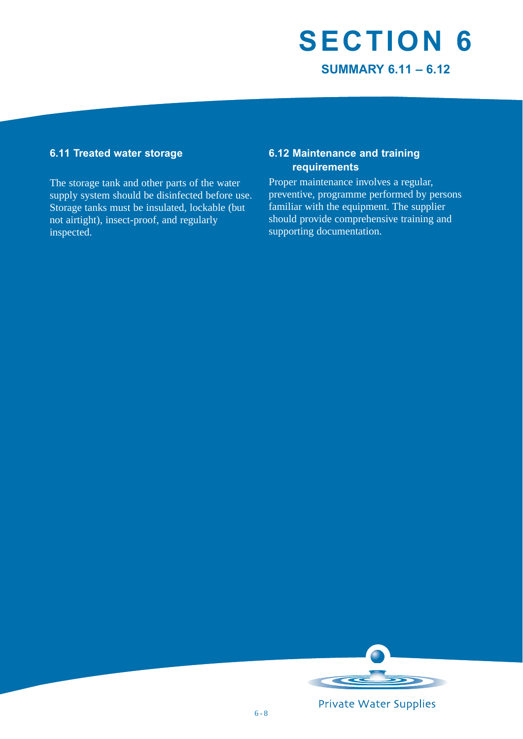

### **6.11 Treated water storage**

The storage tank and other parts of the water supply system should be disinfected before use. Storage tanks must be insulated, lockable (but not airtight), insect-proof, and regularly inspected.

### **6.12 Maintenance and training requirements**

Proper maintenance involves a regular, preventive, programme performed by persons familiar with the equipment. The supplier should provide comprehensive training and supporting documentation.

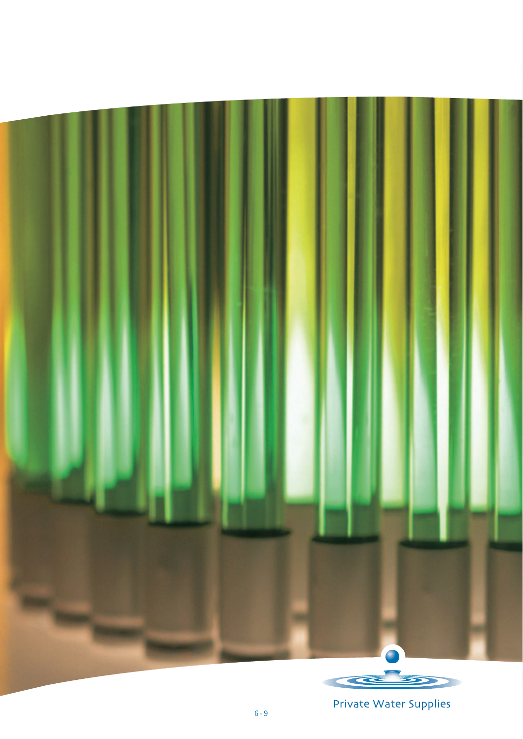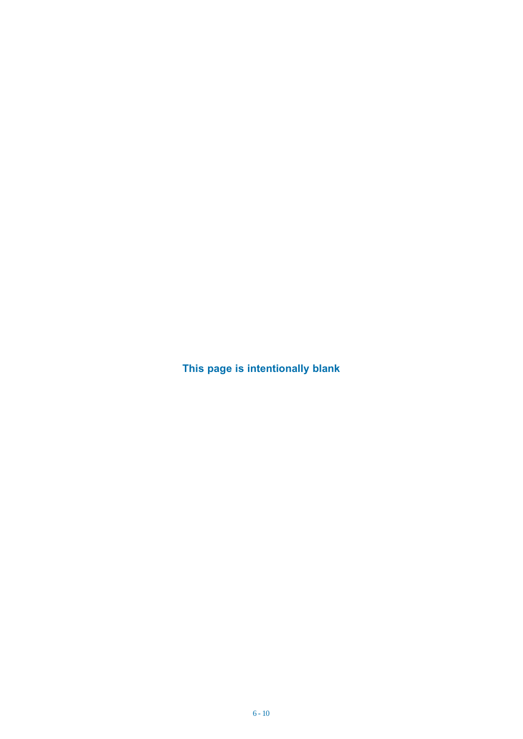**This page is intentionally blank**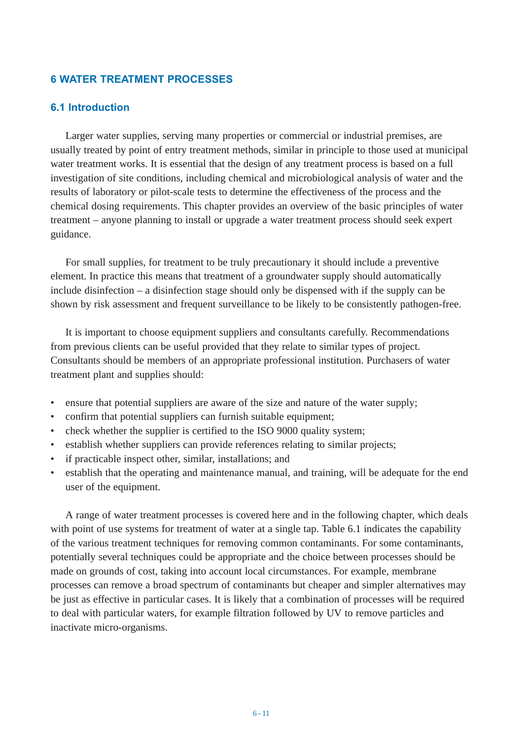### **6 WATER TREATMENT PROCESSES**

### **6.1 Introduction**

Larger water supplies, serving many properties or commercial or industrial premises, are usually treated by point of entry treatment methods, similar in principle to those used at municipal water treatment works. It is essential that the design of any treatment process is based on a full investigation of site conditions, including chemical and microbiological analysis of water and the results of laboratory or pilot-scale tests to determine the effectiveness of the process and the chemical dosing requirements. This chapter provides an overview of the basic principles of water treatment – anyone planning to install or upgrade a water treatment process should seek expert guidance.

For small supplies, for treatment to be truly precautionary it should include a preventive element. In practice this means that treatment of a groundwater supply should automatically include disinfection – a disinfection stage should only be dispensed with if the supply can be shown by risk assessment and frequent surveillance to be likely to be consistently pathogen-free.

It is important to choose equipment suppliers and consultants carefully. Recommendations from previous clients can be useful provided that they relate to similar types of project. Consultants should be members of an appropriate professional institution. Purchasers of water treatment plant and supplies should:

- ensure that potential suppliers are aware of the size and nature of the water supply;
- confirm that potential suppliers can furnish suitable equipment;
- check whether the supplier is certified to the ISO 9000 quality system;
- establish whether suppliers can provide references relating to similar projects;
- if practicable inspect other, similar, installations; and
- establish that the operating and maintenance manual, and training, will be adequate for the end user of the equipment.

A range of water treatment processes is covered here and in the following chapter, which deals with point of use systems for treatment of water at a single tap. Table 6.1 indicates the capability of the various treatment techniques for removing common contaminants. For some contaminants, potentially several techniques could be appropriate and the choice between processes should be made on grounds of cost, taking into account local circumstances. For example, membrane processes can remove a broad spectrum of contaminants but cheaper and simpler alternatives may be just as effective in particular cases. It is likely that a combination of processes will be required to deal with particular waters, for example filtration followed by UV to remove particles and inactivate micro-organisms.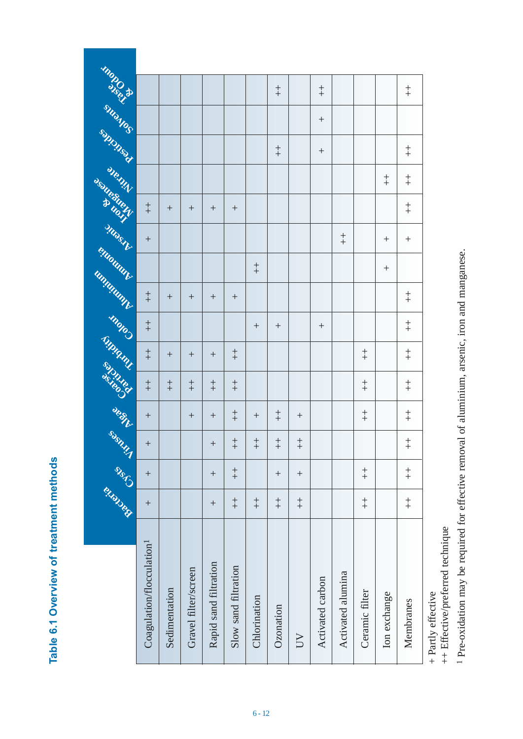|                                       |                                      | Sunday of Charles | Sashurd    | olech      |            | Contribute                           | <b>UNDID</b> | <b>Amanual Library</b> | ensommer   | OHIDSH P   | <b>PARTICULAR DESCRIPTION</b> | onemn      | <b>SPILOTSPIE</b> | Subabas | <b>IMONO BY</b> |
|---------------------------------------|--------------------------------------|-------------------|------------|------------|------------|--------------------------------------|--------------|------------------------|------------|------------|-------------------------------|------------|-------------------|---------|-----------------|
| Coagulation/flocculation <sup>1</sup> | $^{+}$                               | $^{+}$            | $^{+}$     | $^{+}$     | $\ddagger$ | $\begin{array}{c} + \ + \end{array}$ | $\ddagger$   | $\ddagger$             |            | $+$        | $\ddagger$                    |            |                   |         |                 |
| Sedimentation                         |                                      |                   |            |            | $\ddagger$ | $+$                                  |              | $+$                    |            |            | $^{+}$                        |            |                   |         |                 |
| Gravel filter/screen                  |                                      |                   |            | $^{+}$     | $\ddagger$ | $+$                                  |              | $^{+}$                 |            |            | $^{+}$                        |            |                   |         |                 |
| Rapid sand filtration                 |                                      |                   | $^{+}$     | $^{+}$     | $\ddagger$ |                                      |              | $+$                    |            |            | $^{+}$                        |            |                   |         |                 |
| Slow sand filtration                  | $\ddagger$                           | $\ddagger$        | $\ddagger$ | $\ddagger$ | $\ddagger$ | $\ddagger$                           |              | $^{+}$                 |            |            | $\hspace{0.1mm} +$            |            |                   |         |                 |
| Chlorination                          | $\ddagger$                           |                   | $\ddagger$ | $^{+}$     |            |                                      | $^{+}$       |                        | $\ddagger$ |            |                               |            |                   |         |                 |
| Ozonation                             | $\begin{array}{c} + \ + \end{array}$ |                   | $\ddagger$ | $\ddagger$ |            |                                      | $^{+}$       |                        |            |            |                               |            | $\ddagger$        |         | $\ddagger$      |
| <b>ND</b>                             | $\ddagger$                           |                   | $\ddagger$ |            |            |                                      |              |                        |            |            |                               |            |                   |         |                 |
| Activated carbon                      |                                      |                   |            |            |            |                                      | $^{+}$       |                        |            |            |                               |            | $^{+}$            | $^{+}$  | $\ddagger$      |
| Activated alumina                     |                                      |                   |            |            |            |                                      |              |                        |            | $\ddagger$ |                               |            |                   |         |                 |
| Ceramic filter                        | $\ddagger$                           | $\ddagger$        |            | $\ddagger$ | $\ddagger$ | $\ddagger$                           |              |                        |            |            |                               |            |                   |         |                 |
| Ion exchange                          |                                      |                   |            |            |            |                                      |              |                        |            | $^{+}$     |                               | $\ddagger$ |                   |         |                 |
| Membranes                             | $\ddagger$                           | $\ddagger$        | $\ddagger$ | $\ddagger$ | $\ddagger$ | $\ddagger$                           | $\ddagger$   | $\ddagger$             |            |            | $\ddagger$                    | $\ddagger$ | $\ddagger$        |         | $\ddagger$      |

<sup>1</sup> Pre-oxidation may be required for effective removal of aluminium, arsenic, iron and manganese. Pre-oxidation may be required for effective removal of aluminium, arsenic, iron and manganese.+ Partly effective<br>++ Effective/preferred technique

+ Partly effective

++ Effective/preferred technique

**Table 6.1 Overview of treatment methods**

Table 6.1 Overview of treatment methods